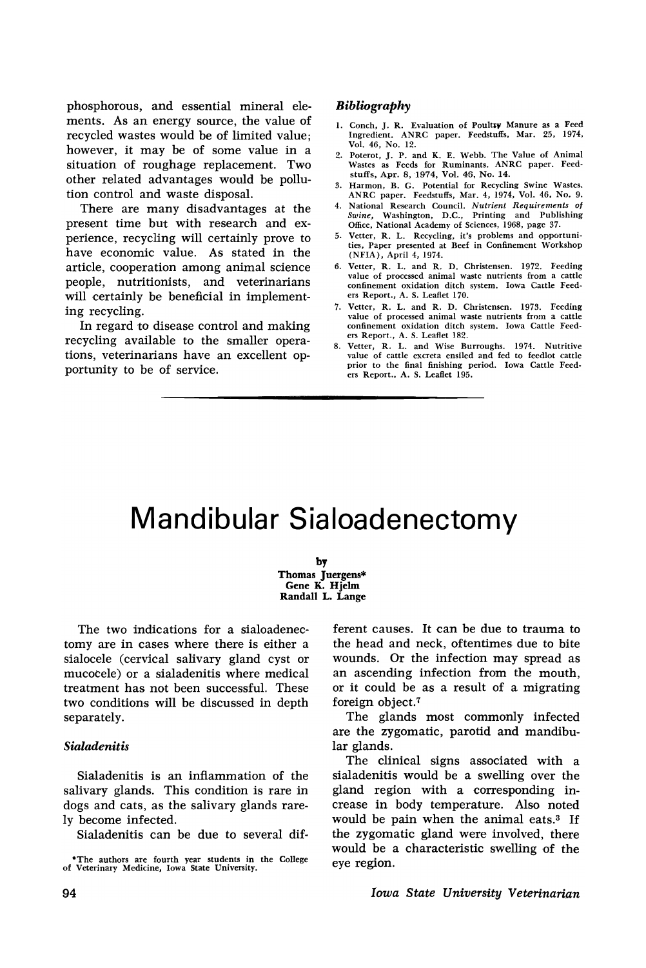phosphorous, and essential mineral elements. As an energy source, the value of recycled wastes would be of limited value; however, it may be of some value in a situation of roughage replacement. Two other related advantages would be pollution control and waste disposal.

There are many disadvantages at the present time but with research and experience, recycling will certainly prove to have economic value. As stated in the article, cooperation among animal science people, nutritionists, and veterinarians will certainly be beneficial in implementing recycling.

In regard to disease control and making recycling available to the smaller operations, veterinarians have an excellent opportunity to be of service.

# *Bibliography*

- 1. Conch, J. R. Evaluation of Poultry Manure as a Feed Ingredient. ANRC paper. Feedstuffs, Mar. 25, 1974, Vol. 46, No. 12.
- 2. Poterot, J. P. and K. E. Webb. The Value of Animal Wastes as Feeds for Ruminants. ANRC paper. Feedstuffs, Apr. 8, 1974, Vol. 46, No. 14.
- 3. Harmon, B. G. Potential for Recycling Swine Wastes. ANRC paper. Feedstuffs, Mar. 4, 1974, Vol. 46, No.9.
- 4. National Research Council. *Nutrient Requirements* of *Swine,* Washington, D.C., Printing and Publishing Office, National Academy of Sciences, 1968, page 37.
- 5. Vetter, R. L. Recycling, it's problems and opportunities, Paper presented at Beef in Confinement Workshop (NFIA), April 4,1974.
- 6. Vetter, R. L. and R. D. Christensen. 1972. Feeding value of processed animal waste nutrients from a cattle confinement oxidation ditch system. Iowa Cattle Feeders Report., A. S. Leaflet 170.
- 7. Vetter, R. L. and R. D. Christensen. 1973. Feeding value of processed animal waste nutrients from a cattle confinement oxidation ditch system. Iowa Cattle Feeders Report., A. S. Leaflet 182.
- 8. Vetter, R. L. and Wise Burroughs. 1974. Nutritive value of cattle excreta ensiled and fed to feedlot cattle prior to the final finishing period. Iowa Cattle Feeders Report., A. S. Leaflet 195.

# Mandibular Sialoadenectomy

by Thomas Juergens\* Gene K. Hjelm Randall L. Lange

The two indications for a sialoadenectomy are in cases where there is either a sialocele (cervical salivary gland cyst or mucocele) or a sialadenitis where medical treatment has not been successful. These two conditions will be discussed in depth separately.

# *Sialadenitis*

Sialadenitis is an inflammation of the salivary glands. This condition is rare in dogs and cats, as the salivary glands rarely become infected.

Sialadenitis can be due to several dif-

ferent causes. It can be due to trauma to the head and neck, oftentimes due to bite wounds. Or the infection may spread as an ascending infection from the mouth, or it could be as a result of a migrating foreign object.<sup> $7$ </sup>

The glands most commonly infected are the zygomatic, parotid and mandibular glands.

The clinical signs associated with a sialadenitis would be a swelling over the gland region with a corresponding increase in body temperature. Also noted would be pain when the animal eats.3 If the zygomatic gland were involved, there would be a characteristic swelling of the eye region.

*Iowa State University Veterinarian*

<sup>-</sup>The authors are fourth year students in the College of Veterinary Medicine. Iowa State University.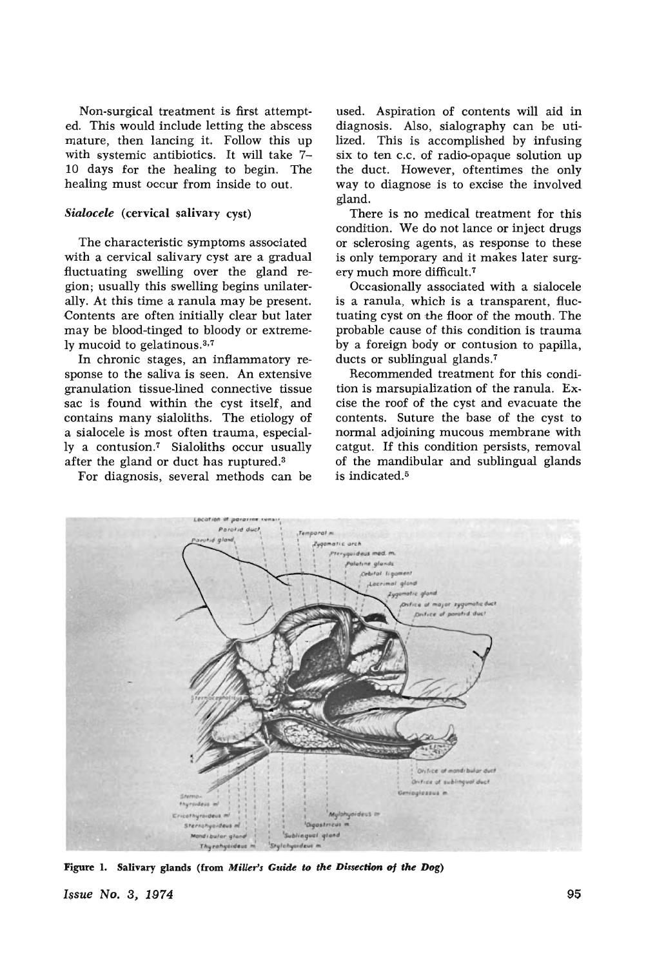Non-surgical treatment is first attempted. This would include letting the abscess mature, then lancing it. Follow this up with systemic antibiotics. It will take 7- 10 days for the healing to begin. The healing must occur from inside to out.

# *Sialocele* (cervical salivary cyst)

The characteristic symptoms associated with a cervical salivary cyst are a gradual fluctuating swelling over the gland region; usually this swelling begins unilaterally. At this time a ranula may be present. Contents are often initially clear but later may be blood-tinged to bloody or extremely mucoid to gelatinous.<sup>3,7</sup>

In chronic stages, an inflammatory response to the saliva is seen. An extensive granulation tissue-lined connective tissue sac is found within the cyst itself, and contains many sialoliths. The etiology of a sialocele is most often trauma, especially a contusion.7 Sialoliths occur usually after the gland or duct has ruptured.3

For diagnosis, several methods can be

used. Aspiration of contents will aid in diagnosis. Also, sialography can be utilized. This is accomplished by infusing six to ten c.c. of radio-opaque solution up the duct. However, oftentimes the only way to diagnose is to excise the involved gland.

There is no medical treatment for this condition. We do not lance or inject drugs or sclerosing agents, as response to these is only temporary and it makes later surgery much more difficult.<sup>7</sup>

Occasionally associated with a sialocele is a ranula, which is a transparent, fluctuating cyst on the floor of the mouth. The probable cause of this condition is trauma by a foreign body or contusion to papilla, ducts or sublingual glands.<sup>7</sup>

Recommended treatment for this condition is marsupialization of the ranula. Excise the roof of the cyst and evacuate the contents. Suture the base of the cyst to normal adjoining mucous membrane with catgut. If this condition persists, removal of the mandibular and sublingual glands is indicated.5



Figure 1. Salivary glands (from *Millers Guide to the Dissection* uf *the Dog)*

*Issue No.3, 1974* 95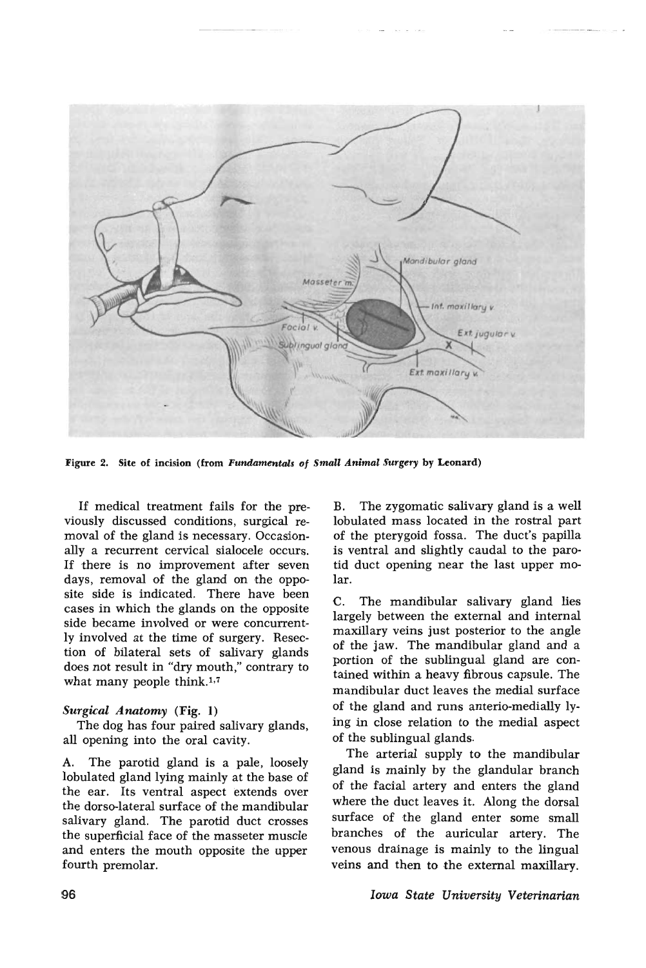

Figure 2. Site of incision (from Fundamentals of Small Animal Surgery by Leonard)

If medical treatment fails for the previously discussed conditions, surgical removal of the gland is necessary. Occasionally a recurrent cervical sialocele occurs. If there is no improvement after seven days, removal of the gland on the opposite side is indicated. There have been cases in which the glands on the opposite side became involved or were concurrently involved at the time of surgery. Resection of bilateral sets of salivary glands does not result in "dry mouth," contrary to what many people think. $1,7$ 

#### *Surgical Anatomy* (Fig. 1)

The dog has four paired salivary glands, all opening into the oral cavity.

A. The parotid gland is a pale, loosely lobulated gland lying mainly at the base of the ear. Its ventral aspect extends over the dorso-Iateral surface of the mandibular salivary gland. The parotid duct crosses the superficial face of the masseter muscle and enters the mouth opposite the upper fourth premolar.

The zygomatic salivary gland is a well lobulated mass located in the rostral part of the pterygoid fossa. The duct's papilla is ventral and slightly caudal to the parotid duct opening near the last upper molar.

C. The mandibular salivary gland lies largely between the external and internal maxillary veins just posterior to the angle of the jaw. The mandibular gland and a portion of the sublingual gland are contained within a heavy fibrous capsule. The mandibular duct leaves the medial surface of the gland and runs anterio-medially lying in close relation to the medial aspect of the sublingual glands.

The arterial supply to the mandibular gland is mainly by the glandular branch of the facial artery and enters the gland where the duct leaves it. Along the dorsal surface of the gland enter some small branches of the auricular artery. The venous drainage is mainly to the lingual veins and then to the external maxillary.

# *Iowa State University Veterinarian*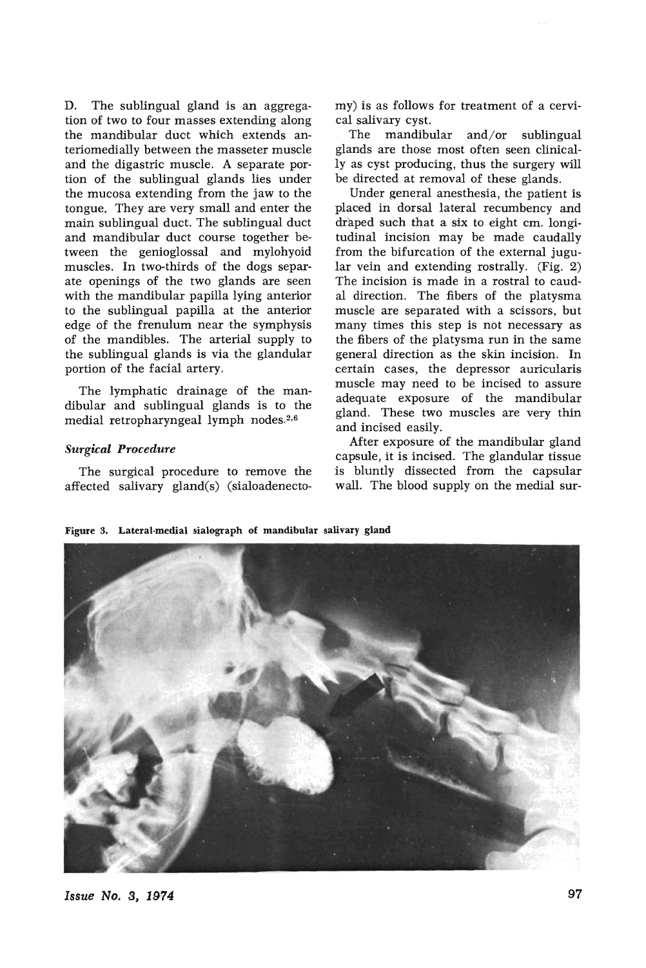D. The sublingual gland is an aggregation of two to four masses extending along the mandibular duct which extends anteriomedially between the masseter muscle and the digastric muscle. A separate portion of the sublingual glands lies under the mucosa extending from the jaw to the tongue. They are very small and enter the main sublingual duct. The sublingual duct and mandibular duct course together between the genioglossal and mylohyoid muscles. In two-thirds of the dogs separate openings of the two glands are seen with the mandibular papilla lying anterior to the sublingual papilla at the anterior edge of the frenulum near the symphysis of the mandibles. The arterial supply to the sublingual glands is via the glandular portion of the facial artery.

The lymphatic drainage of the mandibular and sublingual glands is to the medial retropharyngeal lymph nodes.<sup>2,6</sup>

# *Surgical Procedure*

The surgical procedure to remove the affected salivary gland(s) (sialoadenectomy) is as follows for treatment of a cervical salivary cyst.

The mandibular and/or sublingual glands are those most often seen clinically as cyst producing, thus the surgery will be directed at removal of these glands.

Under general anesthesia, the patient is placed in dorsal lateral recumbency and draped such that a six to eight em. longitudinal incision may be made caudally from the bifurcation of the external jugular vein and extending rostrally. (Fig. 2) The incision is made in a rostral to caudal direction. The fibers of the platysma muscle are separated with a scissors, but many times this step is not necessary as the fibers of the platysma run in the same general direction as the skin incision. In certain cases, the depressor auricularis muscle may need to be incised to assure adequate exposure of the mandibular gland. These two muscles are very thin and incised easily.

After exposure of the mandibular gland capsule, it is incised. The glandular tissue is bluntly dissected from the capsular wall. The blood supply on the medial sur-

Figure 3. Lateral·medial sialograph of mandibular salivary gland